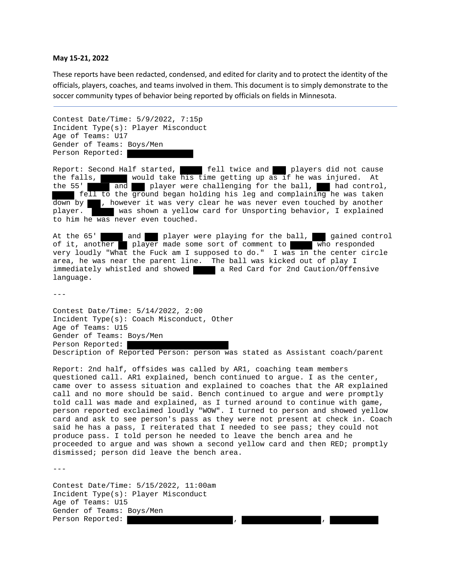## **May 15‐21, 2022**

These reports have been redacted, condensed, and edited for clarity and to protect the identity of the officials, players, coaches, and teams involved in them. This document is to simply demonstrate to the soccer community types of behavior being reported by officials on fields in Minnesota.

Contest Date/Time: 5/9/2022, 7:15p Incident Type(s): Player Misconduct Age of Teams: U17 Gender of Teams: Boys/Men Person Reported:

Report: Second Half started, **fell twice and players did not cause** the falls, would take his time getting up as if he was injured. At the 55' and player were challenging for the ball, had control, the  $55'$  and player were challenging for the ball, fell to the ground began holding his leg and complaining he was taken down by , however it was very clear he was never even touched by another player. was shown a yellow card for Unsporting behavior, I explained to him he was never even touched.

At the 65' and player were playing for the ball, gained control of it, another player made some sort of comment to who responded very loudly "What the Fuck am I supposed to do." I was in the center circle area, he was near the parent line. The ball was kicked out of play I immediately whistled and showed a Red Card for 2nd Caution/Offensive language.

 $- - -$ 

Contest Date/Time: 5/14/2022, 2:00 Incident Type(s): Coach Misconduct, Other Age of Teams: U15 Gender of Teams: Boys/Men Person Reported: Description of Reported Person: person was stated as Assistant coach/parent

Report: 2nd half, offsides was called by AR1, coaching team members questioned call. AR1 explained, bench continued to argue. I as the center, came over to assess situation and explained to coaches that the AR explained call and no more should be said. Bench continued to argue and were promptly told call was made and explained, as I turned around to continue with game, person reported exclaimed loudly "WOW". I turned to person and showed yellow card and ask to see person's pass as they were not present at check in. Coach said he has a pass, I reiterated that I needed to see pass; they could not produce pass. I told person he needed to leave the bench area and he proceeded to argue and was shown a second yellow card and then RED; promptly dismissed; person did leave the bench area.

---

Contest Date/Time: 5/15/2022, 11:00am Incident Type(s): Player Misconduct Age of Teams: U15 Gender of Teams: Boys/Men Person Reported: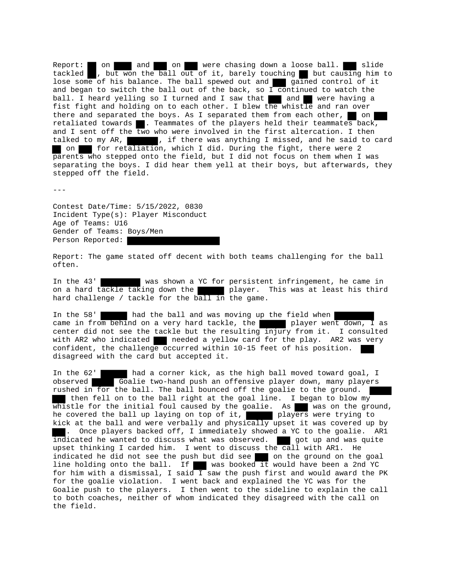Report: on and on were chasing down a loose ball. slide tackled , but won the ball out of it, barely touching but causing him to lose some of his balance. The ball spewed out and gained control of it and began to switch the ball out of the back, so  $\overline{1}$  continued to watch the ball. I heard yelling so I turned and I saw that and were having a fist fight and holding on to each other. I blew the whistle and ran over there and separated the boys. As I separated them from each other,  $\Box$  on retaliated towards  $\blacksquare$ . Teammates of the players held their teammates back, and I sent off the two who were involved in the first altercation. I then talked to my AR, when if there was anything I missed, and he said to card on for retaliation, which I did. During the fight, there were 2 parents who stepped onto the field, but I did not focus on them when I was separating the boys. I did hear them yell at their boys, but afterwards, they stepped off the field.

---

Contest Date/Time: 5/15/2022, 0830 Incident Type(s): Player Misconduct Age of Teams: U16 Gender of Teams: Boys/Men Person Reported:

Report: The game stated off decent with both teams challenging for the ball often.

In the 43' was shown a YC for persistent infringement, he came in on a hard tackle taking down the player. This was at least his third hard challenge / tackle for the ball in the game.

In the 58' had the ball and was moving up the field when came in from behind on a very hard tackle, the player went down, I as center did not see the tackle but the resulting injury from it. I consulted with AR2 who indicated needed a yellow card for the play. AR2 was very confident, the challenge occurred within 10-15 feet of his position. disagreed with the card but accepted it.

In the 62' had a corner kick, as the high ball moved toward goal, I observed Goalie two-hand push an offensive player down, many players Goalie two-hand push an offensive player down, many players rushed in for the ball. The ball bounced off the goalie to the ground. then fell on to the ball right at the goal line. I began to blow  $my^{-}$ whistle for the initial foul caused by the goalie. As was on the ground, he covered the ball up laying on top of it, players were trying to kick at the ball and were verbally and physically upset it was covered up by . Once players backed off, I immediately showed a YC to the goalie. AR1  $\overline{\text{indicated}}$  he wanted to discuss what was observed.  $\blacksquare$  got up and was quite upset thinking I carded him. I went to discuss the call with AR1. He indicated he did not see the push but did see on the ground on the goal line holding onto the ball. If was booked it would have been a 2nd YC for him with a dismissal, I said I saw the push first and would award the PK for the goalie violation. I went back and explained the YC was for the Goalie push to the players. I then went to the sideline to explain the call to both coaches, neither of whom indicated they disagreed with the call on the field.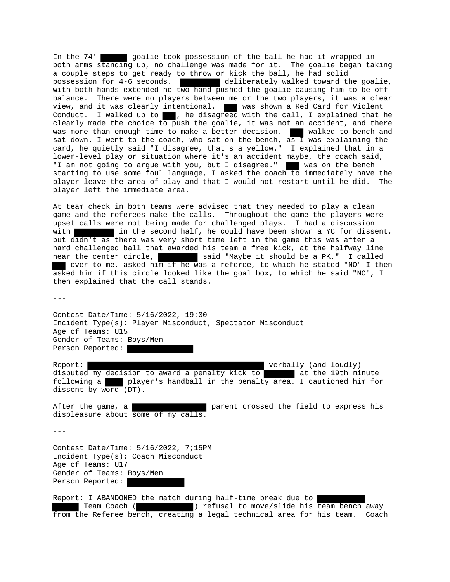In the 74' goalie took possession of the ball he had it wrapped in both arms standing up, no challenge was made for it. The goalie began taking a couple steps to get ready to throw or kick the ball, he had solid possession for 4-6 seconds. deliberately walked toward the goalie, with both hands extended he two-hand pushed the goalie causing him to be off balance. There were no players between me or the two players, it was a clear view, and it was clearly intentional. was shown a Red Card for Violent Conduct. I walked up to  $\blacksquare$ , he disagreed with the call, I explained that he clearly made the choice to push the goalie, it was not an accident, and there was more than enough time to make a better decision. When walked to bench and sat down. I went to the coach, who sat on the bench,  $\overline{as}$  I was explaining the card, he quietly said "I disagree, that's a yellow." I explained that in a lower-level play or situation where it's an accident maybe, the coach said, "I am not going to argue with you, but I disagree." was on the bench starting to use some foul language, I asked the coach to immediately have the player leave the area of play and that I would not restart until he did. The player left the immediate area.

At team check in both teams were advised that they needed to play a clean game and the referees make the calls. Throughout the game the players were upset calls were not being made for challenged plays. I had a discussion with in the second half, he could have been shown a YC for dissent, but didn't as there was very short time left in the game this was after a hard challenged ball that awarded his team a free kick, at the halfway line near the center circle, said "Maybe it should be a PK." I called over to me, asked him if he was a referee, to which he stated "NO" I then asked him if this circle looked like the goal box, to which he said "NO", I then explained that the call stands.

 $- - -$ 

Contest Date/Time: 5/16/2022, 19:30 Incident Type(s): Player Misconduct, Spectator Misconduct Age of Teams: U15 Gender of Teams: Boys/Men Person Reported:

Report: verbally (and loudly) disputed my decision to award a penalty kick to at the 19th minute following a player's handball in the penalty area. I cautioned him for dissent by word (DT).

After the game, a parent crossed the field to express his displeasure about some of my calls.

---

Contest Date/Time: 5/16/2022, 7;15PM Incident Type(s): Coach Misconduct Age of Teams: U17 Gender of Teams: Boys/Men Person Reported:

Report: I ABANDONED the match during half-time break due to Team Coach ( ) refusal to move/slide his team bench away from the Referee bench, creating a legal technical area for his team. Coach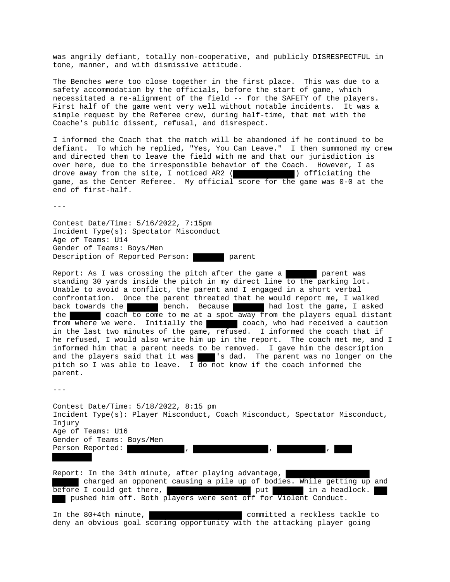was angrily defiant, totally non-cooperative, and publicly DISRESPECTFUL in tone, manner, and with dismissive attitude.

The Benches were too close together in the first place. This was due to a safety accommodation by the officials, before the start of game, which necessitated a re-alignment of the field -- for the SAFETY of the players. First half of the game went very well without notable incidents. It was a simple request by the Referee crew, during half-time, that met with the Coache's public dissent, refusal, and disrespect.

I informed the Coach that the match will be abandoned if he continued to be defiant. To which he replied, "Yes, You Can Leave." I then summoned my crew and directed them to leave the field with me and that our jurisdiction is over here, due to the irresponsible behavior of the Coach. However, I as drove away from the site, I noticed AR2 ( ) officiating the game, as the Center Referee. My official score for the game was 0-0 at the end of first-half.

 $---$ 

Contest Date/Time: 5/16/2022, 7:15pm Incident Type(s): Spectator Misconduct Age of Teams: U14 Gender of Teams: Boys/Men Description of Reported Person: parent

Report: As I was crossing the pitch after the game a parent was standing 30 yards inside the pitch in my direct line to the parking lot. Unable to avoid a conflict, the parent and I engaged in a short verbal confrontation. Once the parent threated that he would report me, I walked back towards the bench. Because had lost the game, I asked the coach to come to me at a spot away from the players equal distant from where we were. Initially the coach, who had received a caution in the last two minutes of the game, refused. I informed the coach that if he refused, I would also write him up in the report. The coach met me, and I informed him that a parent needs to be removed. I gave him the description and the players said that it was 's dad. The parent was no longer on the pitch so I was able to leave. I do not know if the coach informed the parent.

 $---$ 

Contest Date/Time: 5/18/2022, 8:15 pm Incident Type(s): Player Misconduct, Coach Misconduct, Spectator Misconduct, Injury Age of Teams: U16 Gender of Teams: Boys/Men Person Reported:  $\qquad \qquad , \qquad \qquad , \qquad \qquad , \qquad \qquad ,$ 

Report: In the 34th minute, after playing advantage, charged an opponent causing a pile up of bodies. While getting up and before I could get there, which we have put in a headlock. pushed him off. Both players were sent off for Violent Conduct.

In the 80+4th minute, and the committed a reckless tackle to deny an obvious goal scoring opportunity with the attacking player going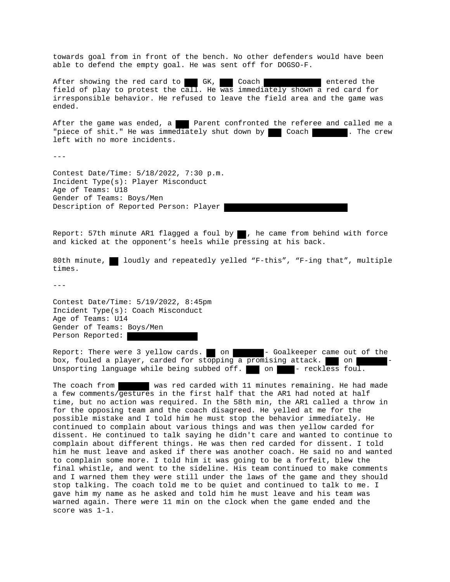towards goal from in front of the bench. No other defenders would have been able to defend the empty goal. He was sent off for DOGSO-F.

After showing the red card to GK, Coach entered the field of play to protest the call. He was immediately shown a red card for irresponsible behavior. He refused to leave the field area and the game was ended.

After the game was ended, a **Parent confronted the referee and called me a** "piece of shit." He was immediately shut down by | Coach | The crew left with no more incidents.

 $- - -$ 

Contest Date/Time: 5/18/2022, 7:30 p.m. Incident Type(s): Player Misconduct Age of Teams: U18 Gender of Teams: Boys/Men Description of Reported Person: Player

Report: 57th minute AR1 flagged a foul by  $\blacksquare$ , he came from behind with force and kicked at the opponent's heels while pressing at his back.

80th minute, loudly and repeatedly yelled "F-this", "F-ing that", multiple times.

---

Contest Date/Time: 5/19/2022, 8:45pm Incident Type(s): Coach Misconduct Age of Teams: U14 Gender of Teams: Boys/Men Person Reported:

Report: There were 3 yellow cards. on The Goalkeeper came out of the box, fouled a player, carded for stopping a promising attack. On The stock Unsporting language while being subbed off.  $\Box$  on  $\Box$  - reckless foul.

The coach from was red carded with 11 minutes remaining. He had made a few comments/gestures in the first half that the AR1 had noted at half time, but no action was required. In the 58th min, the AR1 called a throw in for the opposing team and the coach disagreed. He yelled at me for the possible mistake and I told him he must stop the behavior immediately. He continued to complain about various things and was then yellow carded for dissent. He continued to talk saying he didn't care and wanted to continue to complain about different things. He was then red carded for dissent. I told him he must leave and asked if there was another coach. He said no and wanted to complain some more. I told him it was going to be a forfeit, blew the final whistle, and went to the sideline. His team continued to make comments and I warned them they were still under the laws of the game and they should stop talking. The coach told me to be quiet and continued to talk to me. I gave him my name as he asked and told him he must leave and his team was warned again. There were 11 min on the clock when the game ended and the score was 1-1.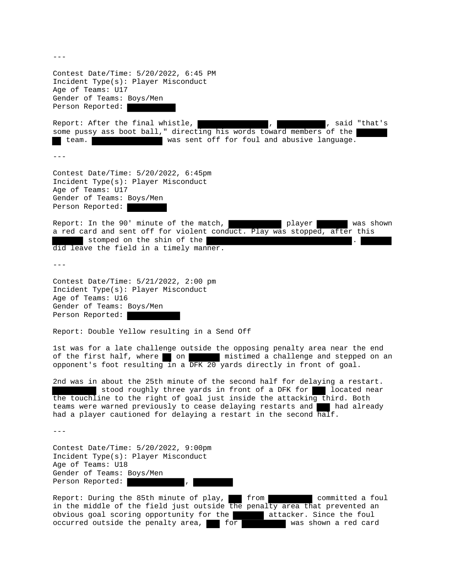Contest Date/Time: 5/20/2022, 6:45 PM Incident Type(s): Player Misconduct Age of Teams: U17 Gender of Teams: Boys/Men Person Reported: Report: After the final whistle,  $\begin{array}{ccc} \cdot & \cdot & \cdot \\ \cdot & \cdot & \cdot \\ \end{array}$ , said "that's some pussy ass boot ball," directing his words toward members of the team. was sent off for foul and abusive language.  $- - -$ Contest Date/Time: 5/20/2022, 6:45pm Incident Type(s): Player Misconduct Age of Teams: U17 Gender of Teams: Boys/Men Person Reported: Report: In the 90' minute of the match, player player was shown a red card and sent off for violent conduct. Play was stopped, after this stomped on the shin of the did leave the field in a timely manner.  $- - -$ Contest Date/Time: 5/21/2022, 2:00 pm Incident Type(s): Player Misconduct Age of Teams: U16 Gender of Teams: Boys/Men Person Reported: Report: Double Yellow resulting in a Send Off 1st was for a late challenge outside the opposing penalty area near the end of the first half, where on mistimed a challenge and stepped on an opponent's foot resulting in a DFK 20 yards directly in front of goal. 2nd was in about the 25th minute of the second half for delaying a restart. stood roughly three yards in front of a DFK for a located near the touchline to the right of goal just inside the attacking third. Both teams were warned previously to cease delaying restarts and had already had a player cautioned for delaying a restart in the second half. --- Contest Date/Time: 5/20/2022, 9:00pm Incident Type(s): Player Misconduct Age of Teams: U18 Gender of Teams: Boys/Men Person Reported: Report: During the 85th minute of play, from committed a foul in the middle of the field just outside the penalty area that prevented an obvious goal scoring opportunity for the attacker. Since the foul occurred outside the penalty area,  $f^{\text{or}}$  for was shown a red card

 $---$